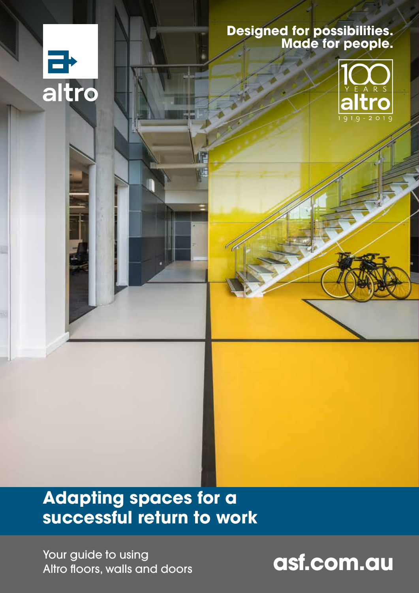### **Designed for possibilities. Made for people.**



## **Adapting spaces for a successful return to work**

**Your guide to using<br>Altro floors, walls and doors <b>and altronomy and altronomy and altronomy and altronomy and altronomy and altro** Altro floors, walls and doors

E<br>altro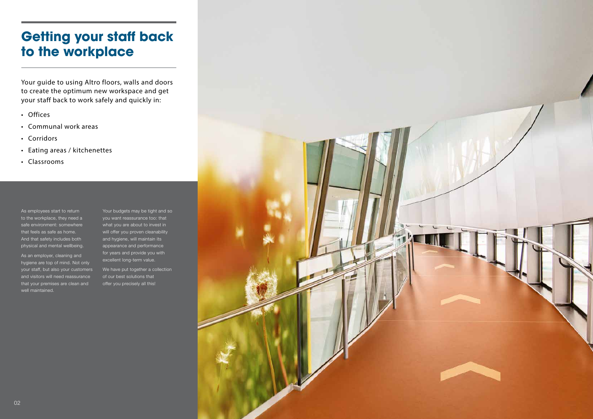Your guide to using Altro floors, walls and doors to create the optimum new workspace and get your staff back to work safely and quickly in:

- Offices
- Communal work areas
- Corridors
- Eating areas / kitchenettes
- Classrooms

As employees start to return to the workplace, they need a safe environment: somewhere that feels as safe as home. And that safety includes both physical and mental wellbeing. Your budgets may be tight and so you want reassurance too: that what you are about to invest in will offer you proven cleanability and hygiene, will maintain its appearance and performance for years and provide you with excellent long-term value.

We have put together a collection of our best solutions that offer you precisely all this!



As an employer, cleaning and hygiene are top of mind. Not only your staff, but also your customers and visitors will need reassurance that your premises are clean and well maintained.

## **Getting your staff back to the workplace**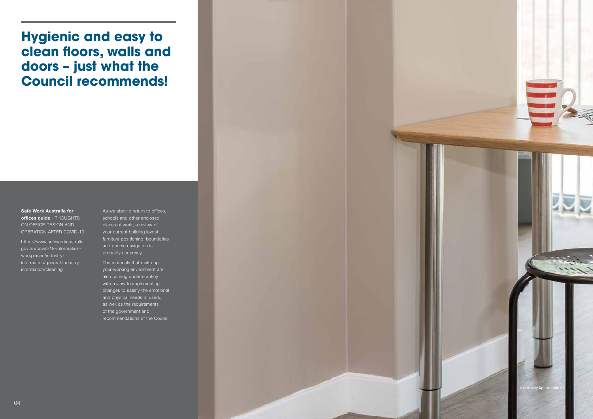05

Safe Work Australia for offices guide - THOUGHTS ON OFFICE DESIGN AND OPERATION AFTER COVID-19

https://www.safeworkaustralia. gov.au/covid-19-informationworkplaces/industryinformation/general-industryinformation/cleaning

As we start to return to offices, schools and other enclosed places of work, a review of your current building layout, furniture positioning, boundaries and people navigation is probably underway.



The materials that make up your working environment are also coming under scrutiny with a view to implementing changes to satisfy the emotional and physical needs of users, as well as the requirements of the government and recommendations of the Council.

# **Hygienic and easy to clean floors, walls and doors – just what the Council recommends!**

Liveability Spinal Unit, UK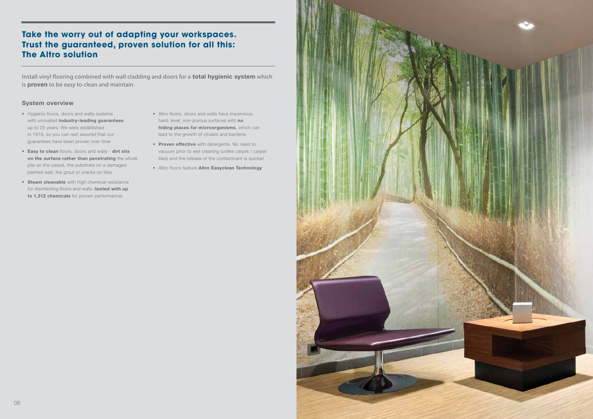## **Take the worry out of adapting your workspaces. Trust the guaranteed, proven solution for all this: The Altro solution**

Install vinyl flooring combined with wall cladding and doors for a **total hygienic system** which is **proven** to be easy to clean and maintain.

- Hygienic floors, doors and walls systems with unrivalled industry-leading guarantees up to 25 years. We were established in 1919, so you can rest assured that our guarantees have been proven over time
- Easy to clean floors, doors and walls dirt sits on the surface rather than penetrating the whole pile on the carpet, the substrate on a damaged painted wall, the grout or cracks on tiles
- Steam cleanable with high chemical resistance for disinfecting floors and walls (tested with up to 1,312 chemicals for proven performance)

#### System overview

- Altro floors, doors and walls have impervious, hard, level, non-porous surfaces with no hiding places for microorganisms, which can lead to the growth of viruses and bacteria
- Proven effective with detergents. No need to vacuum prior to wet cleaning (unlike carpet / carpet tiles) and the release of the contaminant is quicker
- Altro floors feature Altro Easyclean Technology



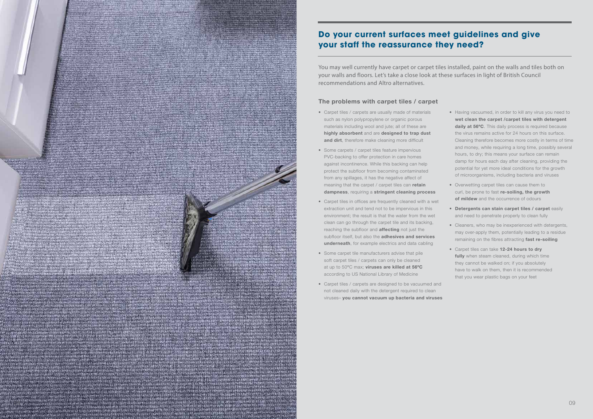## **Do your current surfaces meet guidelines and give your staff the reassurance they need?**

You may well currently have carpet or carpet tiles installed, paint on the walls and tiles both on your walls and floors. Let's take a close look at these surfaces in light of British Council recommendations and Altro alternatives.

#### The problems with carpet tiles / carpet

- Carpet tiles / carpets are usually made of materials such as nylon polypropylene or organic porous materials including wool and jute; all of these are highly absorbent and are designed to trap dust and dirt, therefore make cleaning more difficult
- Some carpets / carpet tiles feature impervious PVC-backing to offer protection in care homes against incontinence. While this backing can help protect the subfloor from becoming contaminated from any spillages, it has the negative affect of meaning that the carpet / carpet tiles can retain dampness, requiring a stringent cleaning process
- Carpet tiles in offices are frequently cleaned with a wet extraction unit and tend not to be impervious in this environment; the result is that the water from the wet clean can go through the carpet tile and its backing, reaching the subfloor and **affecting** not just the subfloor itself, but also the **adhesives and services** underneath, for example electrics and data cabling
- Some carpet tile manufacturers advise that pile soft carpet tiles / carpets can only be cleaned at up to 50°C max; viruses are killed at 56°C according to US National Library of Medicine
- Carpet tiles / carpets are designed to be vacuumed and not cleaned daily with the detergent required to clean viruses– you cannot vacuum up bacteria and viruses



- Having vacuumed, in order to kill any virus you need to wet clean the carpet /carpet tiles with detergent daily at 56°C. This daily process is required because the virus remains active for 24 hours on this surface. Cleaning therefore becomes more costly in terms of time and money, while requiring a long time, possibly several hours, to dry; this means your surface can remain damp for hours each day after cleaning, providing the potential for yet more ideal conditions for the growth of microorganisms, including bacteria and viruses
- Overwetting carpet tiles can cause them to curl, be prone to fast re-soiling, the growth of mildew and the occurrence of odours
- Detergents can stain carpet tiles / carpet easily and need to penetrate properly to clean fully
- Cleaners, who may be inexperienced with detergents, may over-apply them, potentially leading to a residue remaining on the fibres attracting fast re-soiling
- Carpet tiles can take 12-24 hours to dry fully when steam cleaned, during which time they cannot be walked on; if you absolutely have to walk on them, then it is recommended that you wear plastic bags on your feet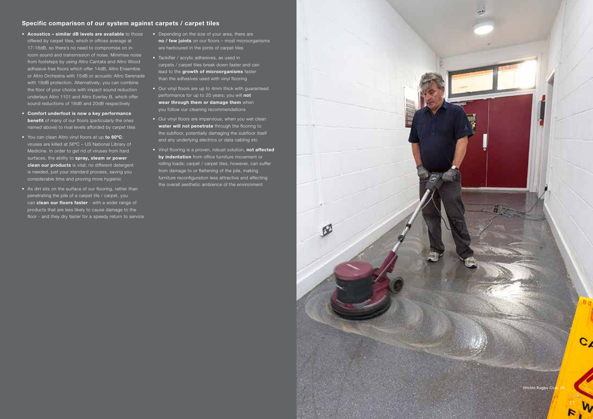#### Specific comparison of our system against carpets / carpet tiles

- Acoustics similar dB levels are available to those offered by carpet tiles, which in offices average at 17-18dB, so there's no need to compromise on inroom sound and transmission of noise. Minimise noise from footsteps by using Altro Cantata and Altro Wood adhesive-free floors which offer 14dB, Altro Ensemble or Altro Orchestra with 15dB or acoustic Altro Serenade with 19dB protection. Alternatively, you can combine the floor of your choice with impact sound reduction underlays Altro 1101 and Altro Everlay B, which offer sound reductions of 18dB and 20dB respectively
- Comfort underfoot is now a key performance **benefit** of many of our floors (particularly the ones named above) to rival levels afforded by carpet tiles
- You can clean Altro vinyl floors at up to 60°C; viruses are killed at 56ºC – US National Library of Medicine. In order to get rid of viruses from hard surfaces, the ability to spray, steam or power clean our products is vital; no different detergent is needed, just your standard process, saving you considerable time and proving more hygienic
- As dirt sits on the surface of our flooring, rather than penetrating the pile of a carpet tile / carpet, you can clean our floors faster - with a wider range of products that are less likely to cause damage to the floor - and they dry faster for a speedy return to service
- Depending on the size of your area, there are no / few joints on our floors – most microorganisms are harboured in the joints of carpet tiles
- Tackifier / acrylic adhesives, as used in carpets / carpet tiles break down faster and can lead to the growth of microorganisms faster than the adhesives used with vinyl flooring
- Our vinyl floors are up to 4mm thick with guaranteed performance for up to 20 years; you will not wear through them or damage them when you follow our cleaning recommendations
- Our vinyl floors are impervious, when you wet clean water will not penetrate through the flooring to the subfloor, potentially damaging the subfloor itself and any underlying electrics or data cabling etc
- Vinyl flooring is a proven, robust solution, not affected by indentation from office furniture movement or rolling loads; carpet / carpet tiles, however, can suffer from damage to or flattening of the pile, making furniture reconfiguration less attractive and affecting the overall aesthetic ambience of the environment

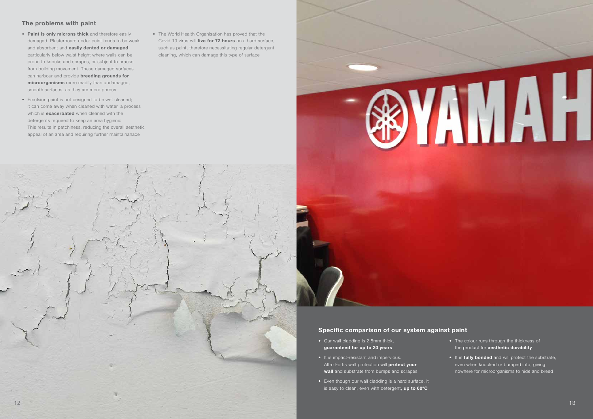- Our wall cladding is 2.5mm thick, guaranteed for up to 20 years
- It is impact-resistant and impervious. Altro Fortis wall protection will protect your wall and substrate from bumps and scrapes
- Even though our wall cladding is a hard surface, it is easy to clean, even with detergent, up to 60°C

#### Specific comparison of our system against paint

- The colour runs through the thickness of the product for **aesthetic durability**
- It is fully bonded and will protect the substrate, even when knocked or bumped into, giving nowhere for microorganisms to hide and breed

#### The problems with paint

- Paint is only microns thick and therefore easily damaged. Plasterboard under paint tends to be weak and absorbent and **easily dented or damaged**, particularly below waist height where walls can be prone to knocks and scrapes, or subject to cracks from building movement. These damaged surfaces can harbour and provide **breeding grounds for** microorganisms more readily than undamaged, smooth surfaces, as they are more porous
- Emulsion paint is not designed to be wet cleaned; it can come away when cleaned with water, a process which is **exacerbated** when cleaned with the detergents required to keep an area hygienic. This results in patchiness, reducing the overall aesthetic appeal of an area and requiring further maintainanace
- The World Health Organisation has proved that the Covid 19 virus will live for 72 hours on a hard surface, such as paint, therefore necessitating regular detergent cleaning, which can damage this type of surface



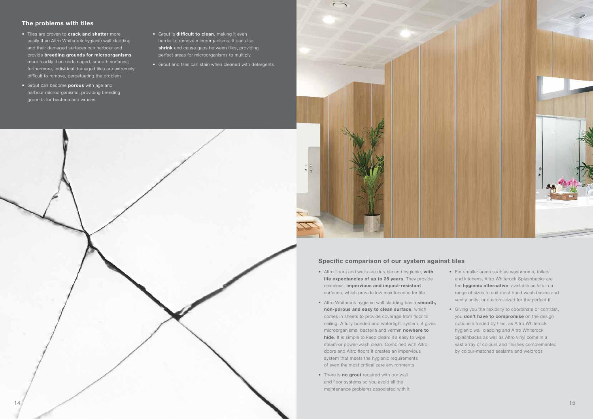#### Specific comparison of our system against tiles

- Altro floors and walls are durable and hygienic, with life expectancies of up to 25 years. They provide seamless, impervious and impact-resistant surfaces, which provide low maintenance for life
- Altro Whiterock hygienic wall cladding has a **smooth**, non-porous and easy to clean surface, which comes in sheets to provide coverage from floor to ceiling. A fully bonded and watertight system, it gives microorganisms, bacteria and vermin nowhere to hide. It is simple to keep clean: it's easy to wipe, steam or power-wash clean. Combined with Altro doors and Altro floors it creates an impervious system that meets the hygienic requirements of even the most critical care environments
- There is **no grout** required with our wall and floor systems so you avoid all the maintenance problems associated with it

- Tiles are proven to crack and shatter more easily than Altro Whiterock hygienic wall cladding and their damaged surfaces can harbour and provide breeding grounds for microorganisms more readily than undamaged, smooth surfaces; furthermore, individual damaged tiles are extremely difficult to remove, perpetuating the problem
- Grout can become **porous** with age and harbour microorganisms, providing breeding grounds for bacteria and viruses
- Grout is difficult to clean, making it even harder to remove microorganisms. It can also shrink and cause gaps between tiles, providing perfect areas for microorganisms to multiply
- Grout and tiles can stain when cleaned with detergents

- For smaller areas such as washrooms, toilets and kitchens, Altro Whiterock Splashbacks are the **hygienic alternative**, available as kits in a range of sizes to suit most hand wash basins and vanity units, or custom-sized for the perfect fit
- Giving you the flexibility to coordinate or contrast, you don't have to compromise on the design options afforded by tiles, as Altro Whiterock hygienic wall cladding and Altro Whiterock Splashbacks as well as Altro vinyl come in a vast array of colours and finishes complemented by colour-matched sealants and weldrods

#### The problems with tiles



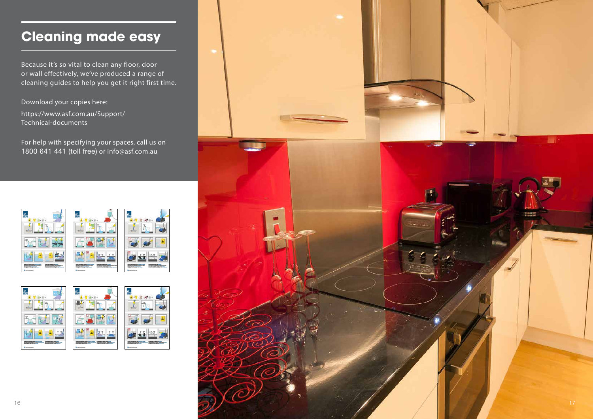Because it's so vital to clean any floor, door or wall effectively, we've produced a range of cleaning guides to help you get it right first time.

# **Cleaning made easy**



Download your copies here: https://www.asf.com.au/Support/ Technical-documents

For help with specifying your spaces, call us on 1800 641 441 (toll free) or info@asf.com.au